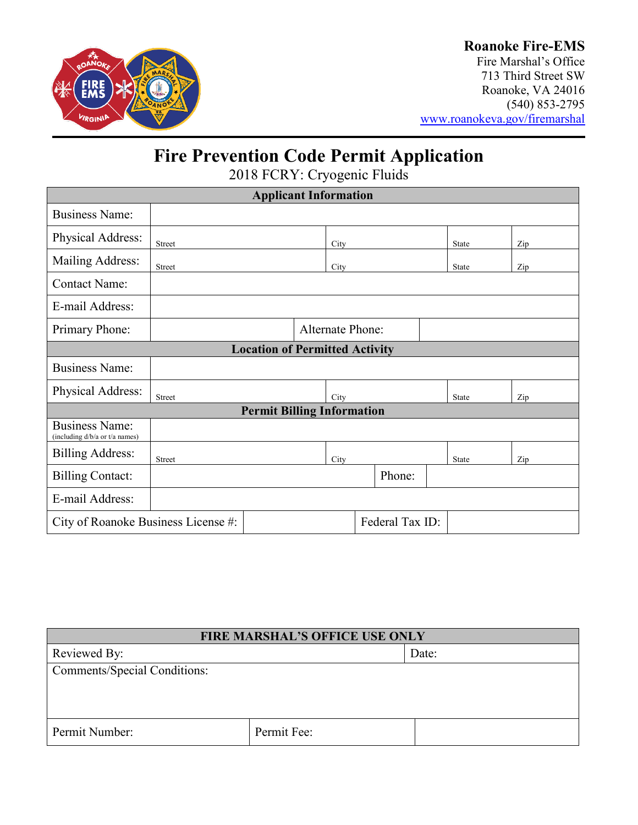

### **Roanoke Fire-EMS**

Fire Marshal's Office 713 Third Street SW Roanoke, VA 24016 (540) 853-2795 [www.roanokeva.gov/firemarshal](http://www.roanokeva.gov/firemarshal)

## **Fire Prevention Code Permit Application**

2018 FCRY: Cryogenic Fluids

| <b>Applicant Information</b>                            |                                                        |      |      |  |        |     |              |     |  |
|---------------------------------------------------------|--------------------------------------------------------|------|------|--|--------|-----|--------------|-----|--|
| <b>Business Name:</b>                                   |                                                        |      |      |  |        |     |              |     |  |
| Physical Address:                                       | Street                                                 |      | City |  |        |     | <b>State</b> | Zip |  |
| Mailing Address:                                        | Street                                                 |      | City |  |        |     | State        | Zip |  |
| <b>Contact Name:</b>                                    |                                                        |      |      |  |        |     |              |     |  |
| E-mail Address:                                         |                                                        |      |      |  |        |     |              |     |  |
| Primary Phone:                                          | <b>Alternate Phone:</b>                                |      |      |  |        |     |              |     |  |
| <b>Location of Permitted Activity</b>                   |                                                        |      |      |  |        |     |              |     |  |
| <b>Business Name:</b>                                   |                                                        |      |      |  |        |     |              |     |  |
| Physical Address:                                       | Street                                                 |      | City |  |        |     | State        | Zip |  |
| <b>Permit Billing Information</b>                       |                                                        |      |      |  |        |     |              |     |  |
| <b>Business Name:</b><br>(including d/b/a or t/a names) |                                                        |      |      |  |        |     |              |     |  |
| <b>Billing Address:</b>                                 | <b>Street</b>                                          | City |      |  | State  | Zip |              |     |  |
| <b>Billing Contact:</b>                                 |                                                        |      |      |  | Phone: |     |              |     |  |
| E-mail Address:                                         |                                                        |      |      |  |        |     |              |     |  |
|                                                         | Federal Tax ID:<br>City of Roanoke Business License #: |      |      |  |        |     |              |     |  |

| <b>FIRE MARSHAL'S OFFICE USE ONLY</b> |             |       |  |  |
|---------------------------------------|-------------|-------|--|--|
| Reviewed By:                          |             | Date: |  |  |
| <b>Comments/Special Conditions:</b>   |             |       |  |  |
|                                       |             |       |  |  |
|                                       |             |       |  |  |
| Permit Number:                        | Permit Fee: |       |  |  |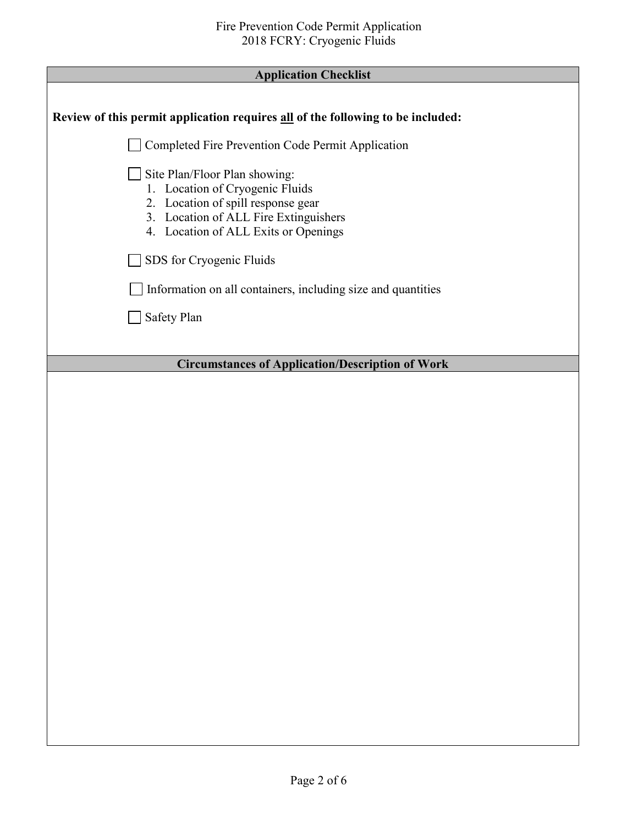| <b>Application Checklist</b> |
|------------------------------|
|------------------------------|

| <b>Application Checklist</b>                                                                                                                                                            |
|-----------------------------------------------------------------------------------------------------------------------------------------------------------------------------------------|
| Review of this permit application requires all of the following to be included:                                                                                                         |
| Completed Fire Prevention Code Permit Application                                                                                                                                       |
| Site Plan/Floor Plan showing:<br>1. Location of Cryogenic Fluids<br>2. Location of spill response gear<br>3. Location of ALL Fire Extinguishers<br>4. Location of ALL Exits or Openings |
| SDS for Cryogenic Fluids                                                                                                                                                                |
| Information on all containers, including size and quantities                                                                                                                            |
| Safety Plan                                                                                                                                                                             |
|                                                                                                                                                                                         |
| <b>Circumstances of Application/Description of Work</b>                                                                                                                                 |
|                                                                                                                                                                                         |
|                                                                                                                                                                                         |
|                                                                                                                                                                                         |
|                                                                                                                                                                                         |
|                                                                                                                                                                                         |
|                                                                                                                                                                                         |
|                                                                                                                                                                                         |
|                                                                                                                                                                                         |
|                                                                                                                                                                                         |
|                                                                                                                                                                                         |
|                                                                                                                                                                                         |
|                                                                                                                                                                                         |
|                                                                                                                                                                                         |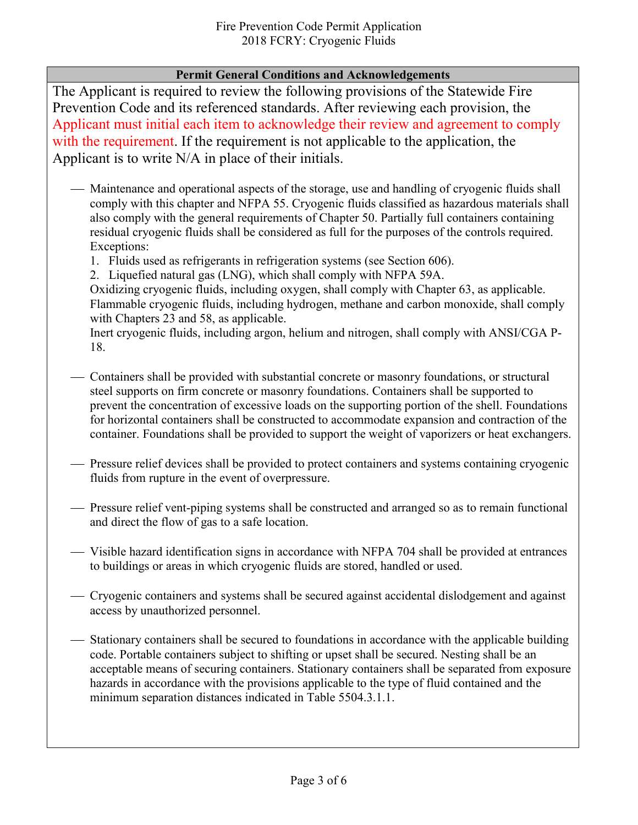#### **Permit General Conditions and Acknowledgements**

The Applicant is required to review the following provisions of the Statewide Fire Prevention Code and its referenced standards. After reviewing each provision, the Applicant must initial each item to acknowledge their review and agreement to comply with the requirement. If the requirement is not applicable to the application, the Applicant is to write N/A in place of their initials.

- Maintenance and operational aspects of the storage, use and handling of cryogenic fluids shall comply with this chapter and NFPA 55. Cryogenic fluids classified as hazardous materials shall also comply with the general requirements of Chapter 50. Partially full containers containing residual cryogenic fluids shall be considered as full for the purposes of the controls required. Exceptions:
	- 1. Fluids used as refrigerants in refrigeration systems (see Section 606).
	- 2. Liquefied natural gas (LNG), which shall comply with NFPA 59A.

Oxidizing cryogenic fluids, including oxygen, shall comply with Chapter 63, as applicable. Flammable cryogenic fluids, including hydrogen, methane and carbon monoxide, shall comply with Chapters 23 and 58, as applicable.

Inert cryogenic fluids, including argon, helium and nitrogen, shall comply with ANSI/CGA P-18.

- Containers shall be provided with substantial concrete or masonry foundations, or structural steel supports on firm concrete or masonry foundations. Containers shall be supported to prevent the concentration of excessive loads on the supporting portion of the shell. Foundations for horizontal containers shall be constructed to accommodate expansion and contraction of the container. Foundations shall be provided to support the weight of vaporizers or heat exchangers.
- Pressure relief devices shall be provided to protect containers and systems containing cryogenic fluids from rupture in the event of overpressure.
- Pressure relief vent-piping systems shall be constructed and arranged so as to remain functional and direct the flow of gas to a safe location.
- Visible hazard identification signs in accordance with NFPA 704 shall be provided at entrances to buildings or areas in which cryogenic fluids are stored, handled or used.
- Cryogenic containers and systems shall be secured against accidental dislodgement and against access by unauthorized personnel.
- Stationary containers shall be secured to foundations in accordance with the applicable building code. Portable containers subject to shifting or upset shall be secured. Nesting shall be an acceptable means of securing containers. Stationary containers shall be separated from exposure hazards in accordance with the provisions applicable to the type of fluid contained and the minimum separation distances indicated in Table 5504.3.1.1.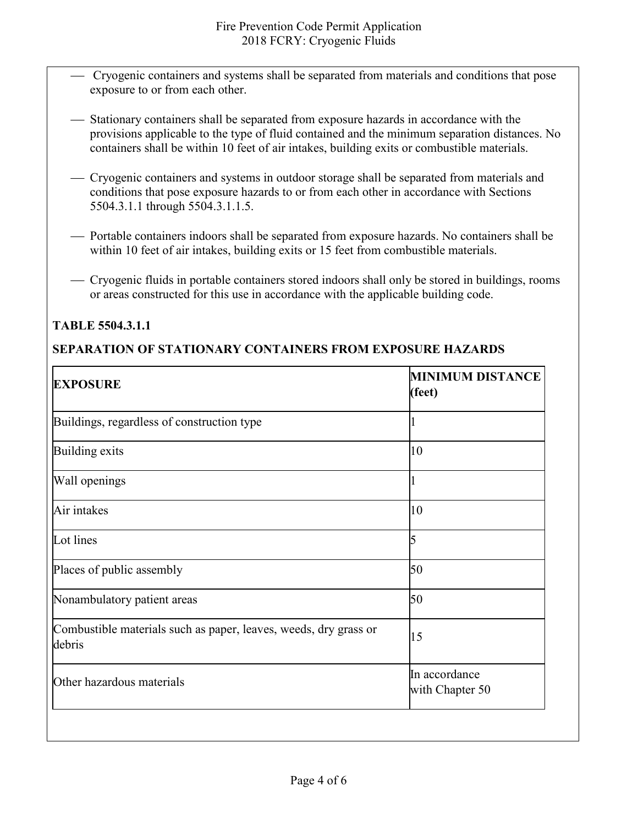- Cryogenic containers and systems shall be separated from materials and conditions that pose exposure to or from each other.
- Stationary containers shall be separated from exposure hazards in accordance with the provisions applicable to the type of fluid contained and the minimum separation distances. No containers shall be within 10 feet of air intakes, building exits or combustible materials.
- Cryogenic containers and systems in outdoor storage shall be separated from materials and conditions that pose exposure hazards to or from each other in accordance with Sections 5504.3.1.1 through 5504.3.1.1.5.
- Portable containers indoors shall be separated from exposure hazards. No containers shall be within 10 feet of air intakes, building exits or 15 feet from combustible materials.
- Cryogenic fluids in portable containers stored indoors shall only be stored in buildings, rooms or areas constructed for this use in accordance with the applicable building code.

#### **TABLE 5504.3.1.1**

#### **SEPARATION OF STATIONARY CONTAINERS FROM EXPOSURE HAZARDS**

| <b>EXPOSURE</b>                                                            | <b>MINIMUM DISTANCE</b><br>(feet) |
|----------------------------------------------------------------------------|-----------------------------------|
| Buildings, regardless of construction type                                 |                                   |
| Building exits                                                             | 10                                |
| Wall openings                                                              |                                   |
| Air intakes                                                                | 10                                |
| Lot lines                                                                  | 5                                 |
| Places of public assembly                                                  | 50                                |
| Nonambulatory patient areas                                                | 50                                |
| Combustible materials such as paper, leaves, weeds, dry grass or<br>debris | 15                                |
| Other hazardous materials                                                  | In accordance<br>with Chapter 50  |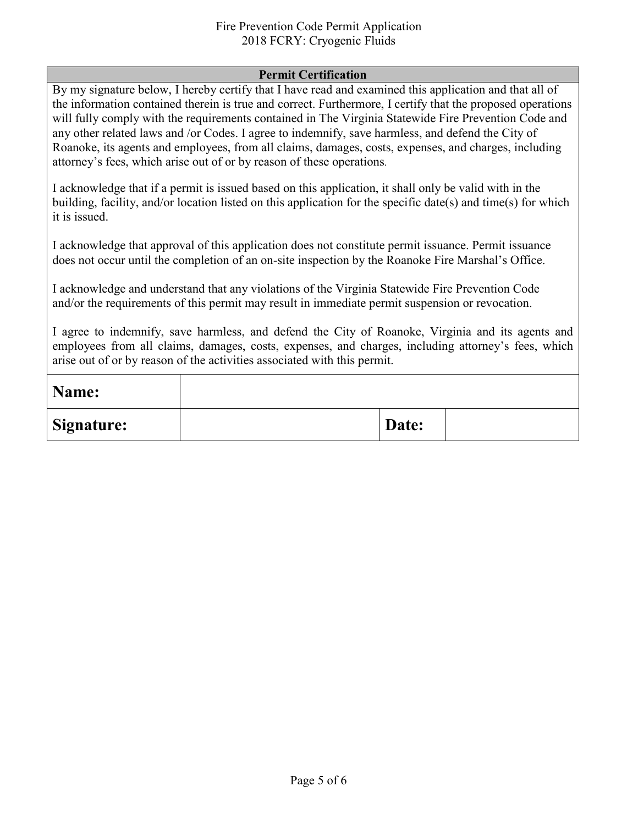#### Fire Prevention Code Permit Application 2018 FCRY: Cryogenic Fluids

#### **Permit Certification**

By my signature below, I hereby certify that I have read and examined this application and that all of the information contained therein is true and correct. Furthermore, I certify that the proposed operations will fully comply with the requirements contained in The Virginia Statewide Fire Prevention Code and any other related laws and /or Codes. I agree to indemnify, save harmless, and defend the City of Roanoke, its agents and employees, from all claims, damages, costs, expenses, and charges, including attorney's fees, which arise out of or by reason of these operations.

I acknowledge that if a permit is issued based on this application, it shall only be valid with in the building, facility, and/or location listed on this application for the specific date(s) and time(s) for which it is issued.

I acknowledge that approval of this application does not constitute permit issuance. Permit issuance does not occur until the completion of an on-site inspection by the Roanoke Fire Marshal's Office.

I acknowledge and understand that any violations of the Virginia Statewide Fire Prevention Code and/or the requirements of this permit may result in immediate permit suspension or revocation.

I agree to indemnify, save harmless, and defend the City of Roanoke, Virginia and its agents and employees from all claims, damages, costs, expenses, and charges, including attorney's fees, which arise out of or by reason of the activities associated with this permit.

| Name:      |       |  |
|------------|-------|--|
| Signature: | Date: |  |